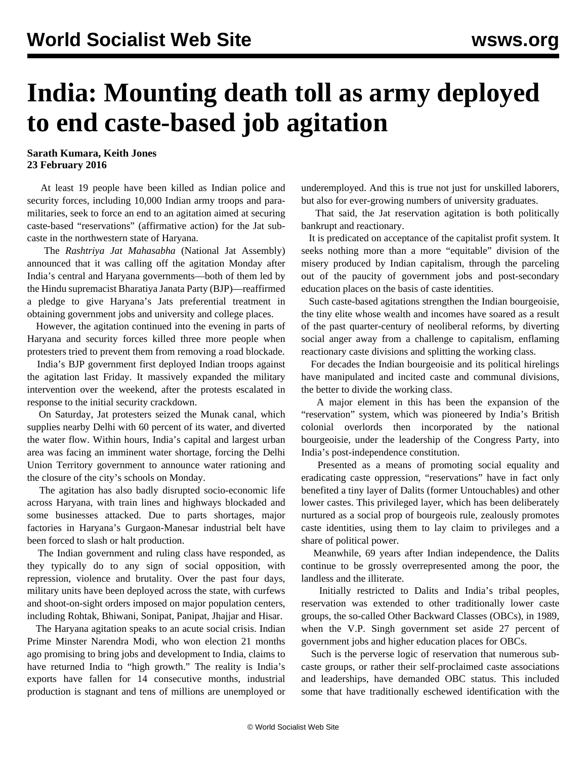## **India: Mounting death toll as army deployed to end caste-based job agitation**

**Sarath Kumara, Keith Jones 23 February 2016**

 At least 19 people have been killed as Indian police and security forces, including 10,000 Indian army troops and paramilitaries, seek to force an end to an agitation aimed at securing caste-based "reservations" (affirmative action) for the Jat subcaste in the northwestern state of Haryana.

 The *Rashtriya Jat Mahasabha* (National Jat Assembly) announced that it was calling off the agitation Monday after India's central and Haryana governments—both of them led by the Hindu supremacist Bharatiya Janata Party (BJP)—reaffirmed a pledge to give Haryana's Jats preferential treatment in obtaining government jobs and university and college places.

 However, the agitation continued into the evening in parts of Haryana and security forces killed three more people when protesters tried to prevent them from removing a road blockade.

 India's BJP government first deployed Indian troops against the agitation last Friday. It massively expanded the military intervention over the weekend, after the protests escalated in response to the initial security crackdown.

 On Saturday, Jat protesters seized the Munak canal, which supplies nearby Delhi with 60 percent of its water, and diverted the water flow. Within hours, India's capital and largest urban area was facing an imminent water shortage, forcing the Delhi Union Territory government to announce water rationing and the closure of the city's schools on Monday.

 The agitation has also badly disrupted socio-economic life across Haryana, with train lines and highways blockaded and some businesses attacked. Due to parts shortages, major factories in Haryana's Gurgaon-Manesar industrial belt have been forced to slash or halt production.

 The Indian government and ruling class have responded, as they typically do to any sign of social opposition, with repression, violence and brutality. Over the past four days, military units have been deployed across the state, with curfews and shoot-on-sight orders imposed on major population centers, including Rohtak, Bhiwani, Sonipat, Panipat, Jhajjar and Hisar.

 The Haryana agitation speaks to an acute social crisis. Indian Prime Minster Narendra Modi, who won election 21 months ago promising to bring jobs and development to India, claims to have returned India to "high growth." The reality is India's exports have fallen for 14 consecutive months, industrial production is stagnant and tens of millions are unemployed or underemployed. And this is true not just for unskilled laborers, but also for ever-growing numbers of university graduates.

 That said, the Jat reservation agitation is both politically bankrupt and reactionary.

 It is predicated on acceptance of the capitalist profit system. It seeks nothing more than a more "equitable" division of the misery produced by Indian capitalism, through the parceling out of the paucity of government jobs and post-secondary education places on the basis of caste identities.

 Such caste-based agitations strengthen the Indian bourgeoisie, the tiny elite whose wealth and incomes have soared as a result of the past quarter-century of neoliberal reforms, by diverting social anger away from a challenge to capitalism, enflaming reactionary caste divisions and splitting the working class.

 For decades the Indian bourgeoisie and its political hirelings have manipulated and incited caste and communal divisions, the better to divide the working class.

 A major element in this has been the expansion of the "reservation" system, which was pioneered by India's British colonial overlords then incorporated by the national bourgeoisie, under the leadership of the Congress Party, into India's post-independence constitution.

 Presented as a means of promoting social equality and eradicating caste oppression, "reservations" have in fact only benefited a tiny layer of Dalits (former Untouchables) and other lower castes. This privileged layer, which has been deliberately nurtured as a social prop of bourgeois rule, zealously promotes caste identities, using them to lay claim to privileges and a share of political power.

 Meanwhile, 69 years after Indian independence, the Dalits continue to be grossly overrepresented among the poor, the landless and the illiterate.

 Initially restricted to Dalits and India's tribal peoples, reservation was extended to other traditionally lower caste groups, the so-called Other Backward Classes (OBCs), in 1989, when the V.P. Singh government set aside 27 percent of government jobs and higher education places for OBCs.

 Such is the perverse logic of reservation that numerous subcaste groups, or rather their self-proclaimed caste associations and leaderships, have demanded OBC status. This included some that have traditionally eschewed identification with the